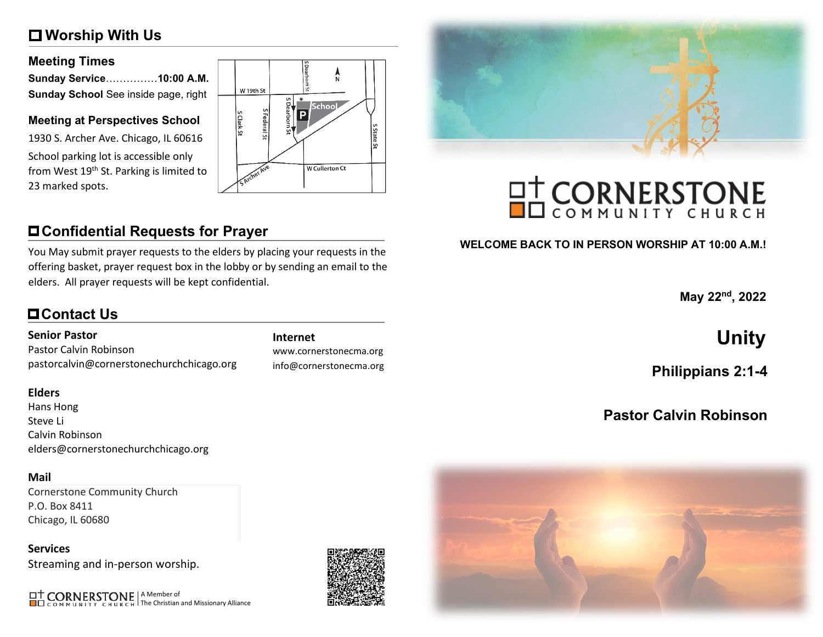# **Worship With Us**

#### **Meeting Times**

| Sunday Service10:00 A.M.             |  |
|--------------------------------------|--|
| Sunday School See inside page, right |  |

#### **Meeting at Perspectives School**

1930 S. Archer Ave. Chicago, IL 60616 School parking lot is accessible only from West 19<sup>th</sup> St. Parking is limited to 23 marked spots.



# **Confidential Requests for Prayer**

You May submit prayer requests to the elders by placing your requests in the offering basket, prayer request box in the lobby or by sending an email to the elders. All prayer requests will be kept confidential.

# **Contact Us**

#### **Senior Pastor**

Pastor Calvin Robinson pastorcalvin@cornerstonechurchchicago.org

#### **Elders**

Hans Hong Steve Li Calvin Robinson elders@cornerstonechurchchicago.org

#### **Mail**

Cornerstone Community Church P.O. Box 8411 Chicago, IL 60680

**Services** Streaming and in-person worship.

A Member of The Christian and Missionary Alliance



www.cornerstonecma.org info@cornerstonecma.org



# **OT CORNERSTONE**

### **WELCOME BACK TO IN PERSON WORSHIP AT 10:00 A.M.!**

**May 22nd, 2022**

# **Internet Unity**

**Philippians 2:1-4**

# **Pastor Calvin Robinson**